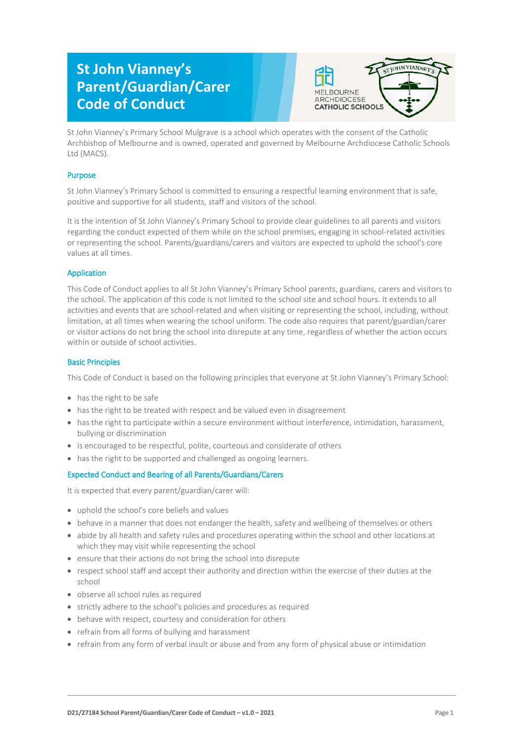# **St John Vianney's Parent/Guardian/Carer Code of Conduct**



St John Vianney's Primary School Mulgrave is a school which operates with the consent of the Catholic Archbishop of Melbourne and is owned, operated and governed by Melbourne Archdiocese Catholic Schools Ltd (MACS).

# Purpose

St John Vianney's Primary School is committed to ensuring a respectful learning environment that is safe, positive and supportive for all students, staff and visitors of the school.

It is the intention of St John Vianney's Primary School to provide clear guidelines to all parents and visitors regarding the conduct expected of them while on the school premises, engaging in school-related activities or representing the school. Parents/guardians/carers and visitors are expected to uphold the school's core values at all times.

# Application

This Code of Conduct applies to all St John Vianney's Primary School parents, guardians, carers and visitors to the school. The application of this code is not limited to the school site and school hours. It extends to all activities and events that are school-related and when visiting or representing the school, including, without limitation, at all times when wearing the school uniform. The code also requires that parent/guardian/carer or visitor actions do not bring the school into disrepute at any time, regardless of whether the action occurs within or outside of school activities.

## Basic Principles

This Code of Conduct is based on the following principles that everyone at St John Vianney's Primary School:

- has the right to be safe
- has the right to be treated with respect and be valued even in disagreement
- has the right to participate within a secure environment without interference, intimidation, harassment, bullying or discrimination
- is encouraged to be respectful, polite, courteous and considerate of others
- has the right to be supported and challenged as ongoing learners.

# Expected Conduct and Bearing of all Parents/Guardians/Carers

It is expected that every parent/guardian/carer will:

- uphold the school's core beliefs and values
- behave in a manner that does not endanger the health, safety and wellbeing of themselves or others
- abide by all health and safety rules and procedures operating within the school and other locations at which they may visit while representing the school
- ensure that their actions do not bring the school into disrepute
- respect school staff and accept their authority and direction within the exercise of their duties at the school
- observe all school rules as required
- strictly adhere to the school's policies and procedures as required
- behave with respect, courtesy and consideration for others
- refrain from all forms of bullying and harassment
- refrain from any form of verbal insult or abuse and from any form of physical abuse or intimidation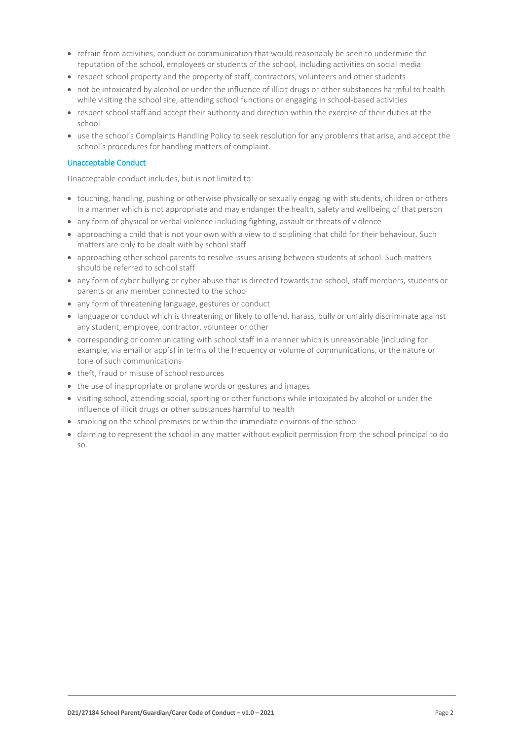- refrain from activities, conduct or communication that would reasonably be seen to undermine the reputation of the school, employees or students of the school, including activities on social media
- respect school property and the property of staff, contractors, volunteers and other students
- not be intoxicated by alcohol or under the influence of illicit drugs or other substances harmful to health while visiting the school site, attending school functions or engaging in school-based activities
- respect school staff and accept their authority and direction within the exercise of their duties at the school
- use the school's Complaints Handling Policy to seek resolution for any problems that arise, and accept the school's procedures for handling matters of complaint.

#### Unacceptable Conduct

Unacceptable conduct includes, but is not limited to:

- touching, handling, pushing or otherwise physically or sexually engaging with students, children or others in a manner which is not appropriate and may endanger the health, safety and wellbeing of that person
- any form of physical or verbal violence including fighting, assault or threats of violence
- approaching a child that is not your own with a view to disciplining that child for their behaviour. Such matters are only to be dealt with by school staff
- approaching other school parents to resolve issues arising between students at school. Such matters should be referred to school staff
- any form of cyber bullying or cyber abuse that is directed towards the school, staff members, students or parents or any member connected to the school
- any form of threatening language, gestures or conduct
- language or conduct which is threatening or likely to offend, harass, bully or unfairly discriminate against any student, employee, contractor, volunteer or other
- corresponding or communicating with school staff in a manner which is unreasonable (including for example, via email or app's) in terms of the frequency or volume of communications, or the nature or tone of such communications
- theft, fraud or misuse of school resources
- the use of inappropriate or profane words or gestures and images
- visiting school, attending social, sporting or other functions while intoxicated by alcohol or under the influence of illicit drugs or other substances harmful to health
- smoking on the school premises or within the immediate environs of the school
- claiming to represent the school in any matter without explicit permission from the school principal to do so.